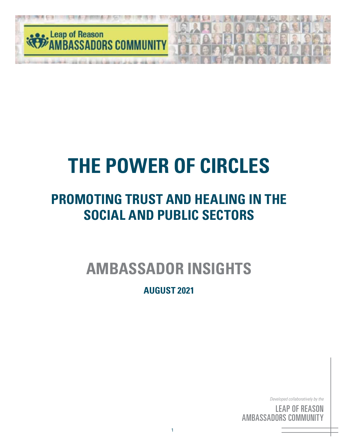

## **PROMOTING TRUST AND HEALING IN THE SOCIAL AND PUBLIC SECTORS**

**AMBASSADOR INSIGHTS**

**AUGUST 2021**

*Developed collaboratively by the*

<sup>c by</sup><br>S( <sup>the</sup><br>IN<br>'Y ' <sup>by</sup><br>SC<br>III <sub>the</sub><br>DN<br>FY LEAP OF REASON AMBASSADORS COMMUNITY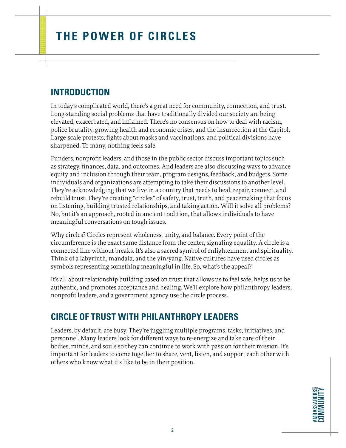#### **INTRODUCTION**

In today's complicated world, there's a great need for community, connection, and trust. Long-standing social problems that have traditionally divided our society are being elevated, exacerbated, and inflamed. There's no consensus on how to deal with racism, police brutality, growing health and economic crises, and the insurrection at the Capitol. Large-scale protests, fights about masks and vaccinations, and political divisions have sharpened. To many, nothing feels safe.

Funders, nonprofit leaders, and those in the public sector discuss important topics such as strategy, finances, data, and outcomes. And leaders are also discussing ways to advance equity and inclusion through their team, program designs, feedback, and budgets. Some individuals and organizations are attempting to take their discussions to another level. They're acknowledging that we live in a country that needs to heal, repair, connect, and rebuild trust. They're creating "circles" of safety, trust, truth, and peacemaking that focus on listening, building trusted relationships, and taking action. Will it solve all problems? No, but it's an approach, rooted in ancient tradition, that allows individuals to have meaningful conversations on tough issues.

Why circles? Circles represent wholeness, unity, and balance. Every point of the circumference is the exact same distance from the center, signaling equality. A circle is a connected line without breaks. It's also a sacred symbol of enlightenment and spirituality. Think of a labyrinth, mandala, and the yin/yang. Native cultures have used circles as symbols representing something meaningful in life. So, what's the appeal?

It's all about relationship building based on trust that allows us to feel safe, helps us to be authentic, and promotes acceptance and healing. We'll explore how philanthropy leaders, nonprofit leaders, and a government agency use the circle process.

#### **CIRCLE OF TRUST WITH PHILANTHROPY LEADERS**

Leaders, by default, are busy. They're juggling multiple programs, tasks, initiatives, and personnel. Many leaders look for different ways to re-energize and take care of their bodies, minds, and souls so they can continue to work with passion for their mission. It's important for leaders to come together to share, vent, listen, and support each other with others who know what it's like to be in their position.

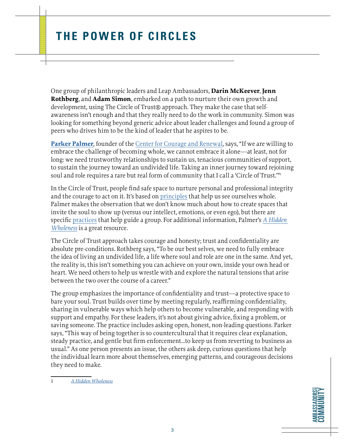One group of philanthropic leaders and Leap Ambassadors, **Darin McKeever**, **Jenn Rothberg**, and **Adam Simon**, embarked on a path to nurture their own growth and development, using The Circle of Trust® approach. They make the case that selfawareness isn't enough and that they really need to do the work in community. Simon was looking for something beyond generic advice about leader challenges and found a group of peers who drives him to be the kind of leader that he aspires to be.

**[Parker Palmer](http://www.couragerenewal.org/parker/)**, founder of the [Center for Courage and Renewal](http://www.couragerenewal.org/), says, "If we are willing to embrace the challenge of becoming whole, we cannot embrace it alone—at least, not for long: we need trustworthy relationships to sustain us, tenacious communities of support, to sustain the journey toward an undivided life. Taking an inner journey toward rejoining soul and role requires a rare but real form of community that I call a 'Circle of Trust."<sup>1</sup>

In the Circle of Trust, people find safe space to nurture personal and professional integrity and the courage to act on it. It's based on [principles](http://www.couragerenewal.org/approach/#principles) that help us see ourselves whole. Palmer makes the observation that we don't know much about how to create spaces that invite the soul to show up (versus our intellect, emotions, or even ego), but there are specific [practices](http://www.couragerenewal.org/approach/#practices) that help guide a group. For additional information, Palmer's *[A Hidden](https://www.wiley.com/en-us/A+Hidden+Wholeness%3A+The+Journey+Toward+an+Undivided+Life-p-9780470453766)  [Wholeness](https://www.wiley.com/en-us/A+Hidden+Wholeness%3A+The+Journey+Toward+an+Undivided+Life-p-9780470453766)* is a great resource.

The Circle of Trust approach takes courage and honesty; trust and confidentiality are absolute pre-conditions. Rothberg says, "To be our best selves, we need to fully embrace the idea of living an undivided life, a life where soul and role are one in the same. And yet, the reality is, this isn't something you can achieve on your own, inside your own head or heart. We need others to help us wrestle with and explore the natural tensions that arise between the two over the course of a career."

The group emphasizes the importance of confidentiality and trust—a protective space to bare your soul. Trust builds over time by meeting regularly, reaffirming confidentiality, sharing in vulnerable ways which help others to become vulnerable, and responding with support and empathy. For these leaders, it's not about giving advice, fixing a problem, or saving someone. The practice includes asking open, honest, non-leading questions. Parker says, "This way of being together is so countercultural that it requires clear explanation, steady practice, and gentle but firm enforcement…to keep us from reverting to business as usual." As one person presents an issue, the others ask deep, curious questions that help the individual learn more about themselves, emerging patterns, and courageous decisions they need to make.

1 *A Hidden [Wholeness](https://www.wiley.com/en-us/A+Hidden+Wholeness%3A+The+Journey+Toward+an+Undivided+Life-p-9780470453766)*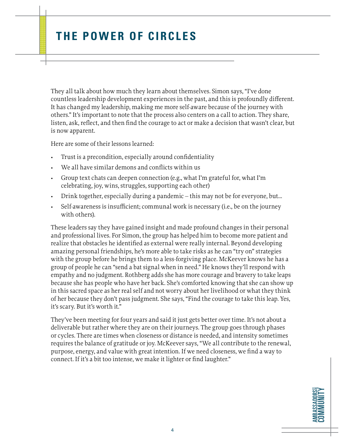They all talk about how much they learn about themselves. Simon says, "I've done countless leadership development experiences in the past, and this is profoundly different. It has changed my leadership, making me more self-aware because of the journey with others." It's important to note that the process also centers on a call to action. They share, listen, ask, reflect, and then find the courage to act or make a decision that wasn't clear, but is now apparent.

Here are some of their lessons learned:

- Trust is a precondition, especially around confidentiality
- We all have similar demons and conflicts within us
- Group text chats can deepen connection (e.g., what I'm grateful for, what I'm celebrating, joy, wins, struggles, supporting each other)
- Drink together, especially during a pandemic this may not be for everyone, but…
- Self-awareness is insufficient; communal work is necessary (i.e., be on the journey with others).

These leaders say they have gained insight and made profound changes in their personal and professional lives. For Simon, the group has helped him to become more patient and realize that obstacles he identified as external were really internal. Beyond developing amazing personal friendships, he's more able to take risks as he can "try on" strategies with the group before he brings them to a less-forgiving place. McKeever knows he has a group of people he can "send a bat signal when in need." He knows they'll respond with empathy and no judgment. Rothberg adds she has more courage and bravery to take leaps because she has people who have her back. She's comforted knowing that she can show up in this sacred space as her real self and not worry about her livelihood or what they think of her because they don't pass judgment. She says, "Find the courage to take this leap. Yes, it's scary. But it's worth it."

They've been meeting for four years and said it just gets better over time. It's not about a deliverable but rather where they are on their journeys. The group goes through phases or cycles. There are times when closeness or distance is needed, and intensity sometimes requires the balance of gratitude or joy. McKeever says, "We all contribute to the renewal, purpose, energy, and value with great intention. If we need closeness, we find a way to connect. If it's a bit too intense, we make it lighter or find laughter."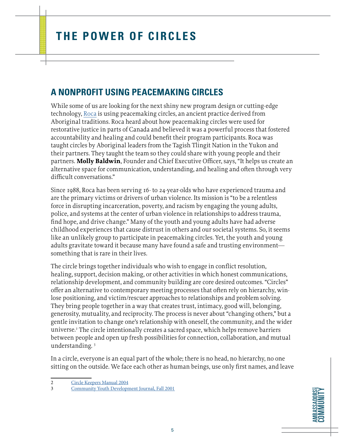#### **A NONPROFIT USING PEACEMAKING CIRCLES**

While some of us are looking for the next shiny new program design or cutting-edge technology, [Roca](https://rocainc.org/) is using peacemaking circles, an ancient practice derived from Aboriginal traditions. Roca heard about how peacemaking circles were used for restorative justice in parts of Canada and believed it was a powerful process that fostered accountability and healing and could benefit their program participants. Roca was taught circles by Aboriginal leaders from the Tagish Tlingit Nation in the Yukon and their partners. They taught the team so they could share with young people and their partners. **Molly Baldwin**, Founder and Chief Executive Officer, says, "It helps us create an alternative space for communication, understanding, and healing and often through very difficult conversations."

Since 1988, Roca has been serving 16- to 24-year-olds who have experienced trauma and are the primary victims or drivers of urban violence. Its mission is "to be a relentless force in disrupting incarceration, poverty, and racism by engaging the young adults, police, and systems at the center of urban violence in relationships to address trauma, find hope, and drive change." Many of the youth and young adults have had adverse childhood experiences that cause distrust in others and our societal systems. So, it seems like an unlikely group to participate in peacemaking circles. Yet, the youth and young adults gravitate toward it because many have found a safe and trusting environment something that is rare in their lives.

The circle brings together individuals who wish to engage in conflict resolution, healing, support, decision making, or other activities in which honest communications, relationship development, and community building are core desired outcomes. "Circles" offer an alternative to contemporary meeting processes that often rely on hierarchy, winlose positioning, and victim/rescuer approaches to relationships and problem solving. They bring people together in a way that creates trust, intimacy, good will, belonging, generosity, mutuality, and reciprocity. The process is never about "changing others," but a gentle invitation to change one's relationship with oneself, the community, and the wider universe.<sup>2</sup> The circle intentionally creates a sacred space, which helps remove barriers between people and open up fresh possibilities for connection, collaboration, and mutual understanding. 3

In a circle, everyone is an equal part of the whole; there is no head, no hierarchy, no one sitting on the outside. We face each other as human beings, use only first names, and leave

**AMBASSADORS COMMUNITY AMBASSADORS** COMMUNITY

<sup>2</sup> [Circle Keepers Manual 2004](https://nacrj.org/index.php?option=com_easyfolderlistingpro&view=preview&format=raw&data=eNpNkN1uwjAMhV9l8guQDsSYezVxt2maxAtEIXXBUtpG-WFIiHfHTai2qzhcJ-c7tmOwafAWcYvQT66jXDBtxM0agQdzorgKFKccrFQ-Hx3b1YFimoJJfKGXzxwTW5oRSYEcKdSQWCQEtTydsmB_Dd4QtC7afNtVdDRDiVII87GtKnfQMqoKBXLepPM_l7A9O1rYtch7DtaR_lwi8hT0txmzcfrws__Qr0ptiguBrulZ-a5_jkRXz7Lv0q-RLJOSseeBRnEfsRH1XYhAF6bfuoqMOZbfgPb-XDDkkWsw)

<sup>3</sup> [Community Youth Development Journal, Fall 2001](http://www.instituteforrestorativeinitiatives.org/uploads/1/6/3/2/16320200/circles.cydjournal.pdf)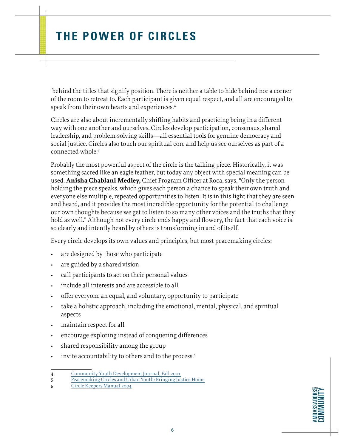behind the titles that signify position. There is neither a table to hide behind nor a corner of the room to retreat to. Each participant is given equal respect, and all are encouraged to speak from their own hearts and experiences.4

Circles are also about incrementally shifting habits and practicing being in a different way with one another and ourselves. Circles develop participation, consensus, shared leadership, and problem-solving skills—all essential tools for genuine democracy and social justice. Circles also touch our spiritual core and help us see ourselves as part of a connected whole.5

Probably the most powerful aspect of the circle is the talking piece. Historically, it was something sacred like an eagle feather, but today any object with special meaning can be used. **Anisha Chablani-Medley,** Chief Program Officer at Roca, says, "Only the person holding the piece speaks, which gives each person a chance to speak their own truth and everyone else multiple, repeated opportunities to listen. It is in this light that they are seen and heard, and it provides the most incredible opportunity for the potential to challenge our own thoughts because we get to listen to so many other voices and the truths that they hold as well." Although not every circle ends happy and flowery, the fact that each voice is so clearly and intently heard by others is transforming in and of itself.

Every circle develops its own values and principles, but most peacemaking circles:

- are designed by those who participate
- are guided by a shared vision
- call participants to act on their personal values
- include all interests and are accessible to all
- offer everyone an equal, and voluntary, opportunity to participate
- take a holistic approach, including the emotional, mental, physical, and spiritual aspects
- maintain respect for all
- encourage exploring instead of conquering differences
- shared responsibility among the group
- invite accountability to others and to the process.<sup>6</sup>

<sup>4</sup> Community Youth Development Journal, Fall 2001<br>5 Peacemaking Circles and Urban Youth: Bringing Ju

[Peacemaking Circles and Urban Youth: Bringing Justice Home](https://books.google.at/books?id=dTaKKs8BrXEC&printsec=frontcover&source=gbs_ge_summary_r&q=&redir_esc=y#v=onepage&q&f=false)

<sup>6</sup> [Circle Keepers Manual 2004](https://nacrj.org/index.php?option=com_easyfolderlistingpro&view=preview&format=raw&data=eNpNkN1uwjAMhV9l8guQDsSYezVxt2maxAtEIXXBUtpG-WFIiHfHTai2qzhcJ-c7tmOwafAWcYvQT66jXDBtxM0agQdzorgKFKccrFQ-Hx3b1YFimoJJfKGXzxwTW5oRSYEcKdSQWCQEtTydsmB_Dd4QtC7afNtVdDRDiVII87GtKnfQMqoKBXLepPM_l7A9O1rYtch7DtaR_lwi8hT0txmzcfrws__Qr0ptiguBrulZ-a5_jkRXz7Lv0q-RLJOSseeBRnEfsRH1XYhAF6bfuoqMOZbfgPb-XDDkkWsw)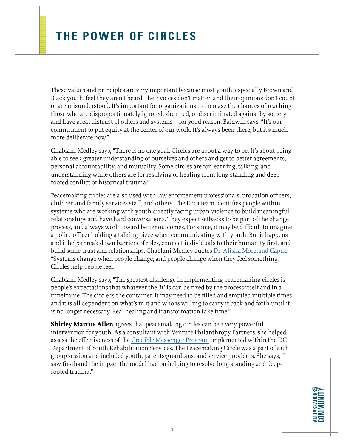These values and principles are very important because most youth, especially Brown and Black youth, feel they aren't heard, their voices don't matter, and their opinions don't count or are misunderstood. It's important for organizations to increase the chances of reaching those who are disproportionately ignored, shunned, or discriminated against by society and have great distrust of others and systems—for good reason. Baldwin says, "It's our commitment to put equity at the center of our work. It's always been there, but it's much more deliberate now."

Chablani-Medley says, "There is no one goal. Circles are about a way to be. It's about being able to seek greater understanding of ourselves and others and get to better agreements, personal accountability, and mutuality. Some circles are for learning, talking, and understanding while others are for resolving or healing from long-standing and deeprooted conflict or historical trauma."

Peacemaking circles are also used with law enforcement professionals, probation officers, children and family services staff, and others. The Roca team identifies people within systems who are working with youth directly facing urban violence to build meaningful relationships and have hard conversations. They expect setbacks to be part of the change process, and always work toward better outcomes. For some, it may be difficult to imagine a police officer holding a talking piece when communicating with youth. But it happens and it helps break down barriers of roles, connect individuals to their humanity first, and build some trust and relationships. Chablani-Medley quotes [Dr. Alisha Moreland Capua](https://www.dralishamorelandcapuia.com/): "Systems change when people change, and people change when they feel something." Circles help people feel.

Chablani-Medley says, "The greatest challenge in implementing peacemaking circles is people's expectations that whatever the 'it' is can be fixed by the process itself and in a timeframe. The circle is the container. It may need to be filled and emptied multiple times and it is all dependent on what's in it and who is willing to carry it back and forth until it is no longer necessary. Real healing and transformation take time."

**Shirley Marcus Allen** agrees that peacemaking circles can be a very powerful intervention for youth. As a consultant with Venture Philanthropy Partners, she helped assess the effectiveness of the [Credible Messenger Program](https://cmjcenter.org/approach/) implemented within the DC Department of Youth Rehabilitation Services. The Peacemaking Circle was a part of each group session and included youth, parents/guardians, and service providers. She says, "I saw firsthand the impact the model had on helping to resolve long-standing and deeprooted trauma."

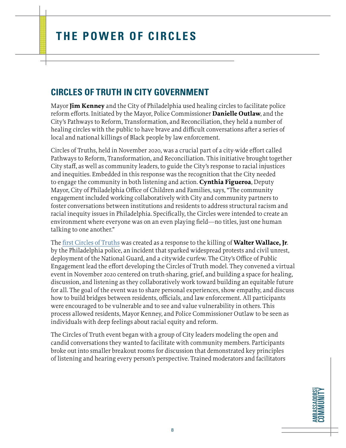#### **CIRCLES OF TRUTH IN CITY GOVERNMENT**

Mayor **Jim Kenney** and the City of Philadelphia used healing circles to facilitate police reform efforts. Initiated by the Mayor, Police Commissioner **Danielle Outlaw**, and the City's Pathways to Reform, Transformation, and Reconciliation, they held a number of healing circles with the public to have brave and difficult conversations after a series of local and national killings of Black people by law enforcement.

Circles of Truths, held in November 2020, was a crucial part of a city-wide effort called Pathways to Reform, Transformation, and Reconciliation. This initiative brought together City staff, as well as community leaders, to guide the City's response to racial injustices and inequities. Embedded in this response was the recognition that the City needed to engage the community in both listening and action. **Cynthia Figueroa**, Deputy Mayor, City of Philadelphia Office of Children and Families, says, "The community engagement included working collaboratively with City and community partners to foster conversations between institutions and residents to address structural racism and racial inequity issues in Philadelphia. Specifically, the Circles were intended to create an environment where everyone was on an even playing field—no titles, just one human talking to one another."

The [first Circles of Truths](https://www.facebook.com/EngagingPHL/videos/circles-of-truths/158130302663948/) was created as a response to the killing of **Walter Wallace, Jr**. by the Philadelphia police, an incident that sparked widespread protests and civil unrest, deployment of the National Guard, and a citywide curfew. The City's Office of Public Engagement lead the effort developing the Circles of Truth model. They convened a virtual event in November 2020 centered on truth-sharing, grief, and building a space for healing, discussion, and listening as they collaboratively work toward building an equitable future for all. The goal of the event was to share personal experiences, show empathy, and discuss how to build bridges between residents, officials, and law enforcement. All participants were encouraged to be vulnerable and to see and value vulnerability in others. This process allowed residents, Mayor Kenney, and Police Commissioner Outlaw to be seen as individuals with deep feelings about racial equity and reform.

The Circles of Truth event began with a group of City leaders modeling the open and candid conversations they wanted to facilitate with community members. Participants broke out into smaller breakout rooms for discussion that demonstrated key principles of listening and hearing every person's perspective. Trained moderators and facilitators

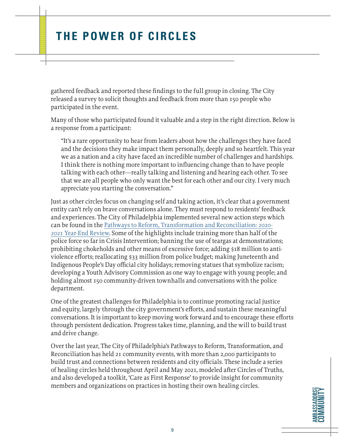gathered feedback and reported these findings to the full group in closing. The City released a survey to solicit thoughts and feedback from more than 150 people who participated in the event.

Many of those who participated found it valuable and a step in the right direction. Below is a response from a participant:

"It's a rare opportunity to hear from leaders about how the challenges they have faced and the decisions they make impact them personally, deeply and so heartfelt. This year we as a nation and a city have faced an incredible number of challenges and hardships. I think there is nothing more important to influencing change than to have people talking with each other—really talking and listening and hearing each other. To see that we are all people who only want the best for each other and our city. I very much appreciate you starting the conversation."

Just as other circles focus on changing self and taking action, it's clear that a government entity can't rely on brave conversations alone. They must respond to residents' feedback and experiences. The City of Philadelphia implemented several new action steps which can be found in the [Pathways to Reform, Transformation and Reconciliation: 2020-](https://www.phila.gov/media/20210614214637/Pathways-to-Reform2021-061521.pdf) [2021 Year-End Review](https://www.phila.gov/media/20210614214637/Pathways-to-Reform2021-061521.pdf). Some of the highlights include training more than half of the police force so far in Crisis Intervention; banning the use of teargas at demonstrations; prohibiting chokeholds and other means of excessive force; adding \$18 million to antiviolence efforts; reallocating \$33 million from police budget; making Juneteenth and Indigenous People's Day official city holidays; removing statues that symbolize racism; developing a Youth Advisory Commission as one way to engage with young people; and holding almost 150 community-driven townhalls and conversations with the police department.

One of the greatest challenges for Philadelphia is to continue promoting racial justice and equity, largely through the city government's efforts, and sustain these meaningful conversations. It is important to keep moving work forward and to encourage these efforts through persistent dedication. Progress takes time, planning, and the will to build trust and drive change.

Over the last year, The City of Philadelphia's Pathways to Reform, Transformation, and Reconciliation has held 21 community events, with more than 2,000 participants to build trust and connections between residents and city officials. These include a series of healing circles held throughout April and May 2021, modeled after Circles of Truths, and also developed a toolkit, 'Care as First Response' to provide insight for community members and organizations on practices in hosting their own healing circles.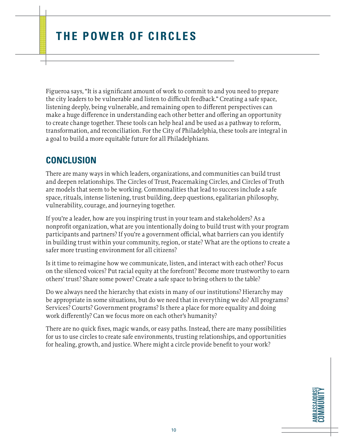Figueroa says, "It is a significant amount of work to commit to and you need to prepare the city leaders to be vulnerable and listen to difficult feedback." Creating a safe space, listening deeply, being vulnerable, and remaining open to different perspectives can make a huge difference in understanding each other better and offering an opportunity to create change together. These tools can help heal and be used as a pathway to reform, transformation, and reconciliation. For the City of Philadelphia, these tools are integral in a goal to build a more equitable future for all Philadelphians.

#### **CONCLUSION**

There are many ways in which leaders, organizations, and communities can build trust and deepen relationships. The Circles of Trust, Peacemaking Circles, and Circles of Truth are models that seem to be working. Commonalities that lead to success include a safe space, rituals, intense listening, trust building, deep questions, egalitarian philosophy, vulnerability, courage, and journeying together.

If you're a leader, how are you inspiring trust in your team and stakeholders? As a nonprofit organization, what are you intentionally doing to build trust with your program participants and partners? If you're a government official, what barriers can you identify in building trust within your community, region, or state? What are the options to create a safer more trusting environment for all citizens?

Is it time to reimagine how we communicate, listen, and interact with each other? Focus on the silenced voices? Put racial equity at the forefront? Become more trustworthy to earn others' trust? Share some power? Create a safe space to bring others to the table?

Do we always need the hierarchy that exists in many of our institutions? Hierarchy may be appropriate in some situations, but do we need that in everything we do? All programs? Services? Courts? Government programs? Is there a place for more equality and doing work differently? Can we focus more on each other's humanity?

There are no quick fixes, magic wands, or easy paths. Instead, there are many possibilities for us to use circles to create safe environments, trusting relationships, and opportunities for healing, growth, and justice. Where might a circle provide benefit to your work?